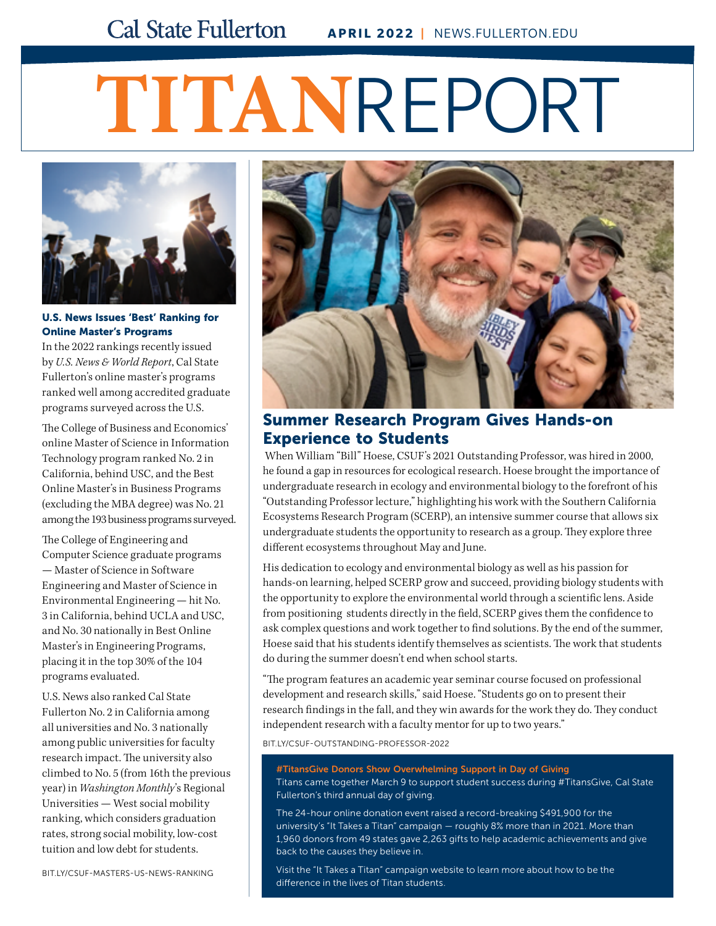# **TITAN**REPORT



#### U.S. News Issues 'Best' Ranking for Online Master's Programs

In the 2022 rankings recently issued by *U.S. News & World Report*, Cal State Fullerton's online master's programs ranked well among accredited graduate programs surveyed across the U.S.

The College of Business and Economics' online Master of Science in Information Technology program ranked No. 2 in California, behind USC, and the Best Online Master's in Business Programs (excluding the MBA degree) was No. 21 among the 193 business programs surveyed.

The College of Engineering and Computer Science graduate programs — Master of Science in Software Engineering and Master of Science in Environmental Engineering — hit No. 3 in California, behind UCLA and USC, and No. 30 nationally in Best Online Master's in Engineering Programs, placing it in the top 30% of the 104 programs evaluated.

U.S. News also ranked Cal State Fullerton No. 2 in California among all universities and No. 3 nationally among public universities for faculty research impact. The university also climbed to No. 5 (from 16th the previous year) in *Washington Monthly*'s Regional Universities — West social mobility ranking, which considers graduation rates, strong social mobility, low-cost tuition and low debt for students.



# Summer Research Program Gives Hands-on Experience to Students

 When William "Bill" Hoese, CSUF's 2021 Outstanding Professor, was hired in 2000, he found a gap in resources for ecological research. Hoese brought the importance of undergraduate research in ecology and environmental biology to the forefront of his "Outstanding Professor lecture," highlighting his work with the Southern California Ecosystems Research Program (SCERP), an intensive summer course that allows six undergraduate students the opportunity to research as a group. They explore three different ecosystems throughout May and June.

His dedication to ecology and environmental biology as well as his passion for hands-on learning, helped SCERP grow and succeed, providing biology students with the opportunity to explore the environmental world through a scientific lens. Aside from positioning students directly in the field, SCERP gives them the confidence to ask complex questions and work together to find solutions. By the end of the summer, Hoese said that his students identify themselves as scientists. The work that students do during the summer doesn't end when school starts.

"The program features an academic year seminar course focused on professional development and research skills," said Hoese. "Students go on to present their research findings in the fall, and they win awards for the work they do. They conduct independent research with a faculty mentor for up to two years."

[BIT.LY/CSUF-OUTSTANDING-PROFESSOR-2022](http://bit.ly/csuf-outstanding-professor-2022)

#TitansGive Donors Show Overwhelming Support in Day of Giving Titans came together March 9 to support student success during #TitansGive, Cal State Fullerton's third annual day of giving.

The 24-hour online donation event raised a record-breaking \$491,900 for the university's "It Takes a Titan" campaign — roughly 8% more than in 2021. More than 1,960 donors from 49 states gave 2,263 gifts to help academic achievements and give back to the causes they believe in.

Visit the "It Takes a Titan" campaign website to learn more about how to be the difference in the lives of Titan students.